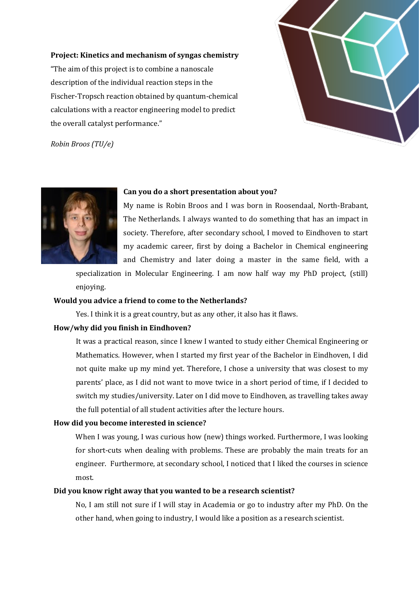#### **Project: Kinetics and mechanism of syngas chemistry**

"The aim of this project is to combine a nanoscale description of the individual reaction steps in the Fischer-Tropsch reaction obtained by quantum-chemical calculations with a reactor engineering model to predict the overall catalyst performance."



*Robin Broos (TU/e)*



#### **Can you do a short presentation about you?**

My name is Robin Broos and I was born in Roosendaal, North-Brabant, The Netherlands. I always wanted to do something that has an impact in society. Therefore, after secondary school, I moved to Eindhoven to start my academic career, first by doing a Bachelor in Chemical engineering and Chemistry and later doing a master in the same field, with a

specialization in Molecular Engineering. I am now half way my PhD project, (still) enjoying.

## **Would you advice a friend to come to the Netherlands?**

Yes. I think it is a great country, but as any other, it also has it flaws.

## **How/why did you finish in Eindhoven?**

It was a practical reason, since I knew I wanted to study either Chemical Engineering or Mathematics. However, when I started my first year of the Bachelor in Eindhoven, I did not quite make up my mind yet. Therefore, I chose a university that was closest to my parents' place, as I did not want to move twice in a short period of time, if I decided to switch my studies/university. Later on I did move to Eindhoven, as travelling takes away the full potential of all student activities after the lecture hours.

## **How did you become interested in science?**

When I was young, I was curious how (new) things worked. Furthermore, I was looking for short-cuts when dealing with problems. These are probably the main treats for an engineer. Furthermore, at secondary school, I noticed that I liked the courses in science most.

# **Did you know right away that you wanted to be a research scientist?**

No, I am still not sure if I will stay in Academia or go to industry after my PhD. On the other hand, when going to industry, I would like a position as a research scientist.